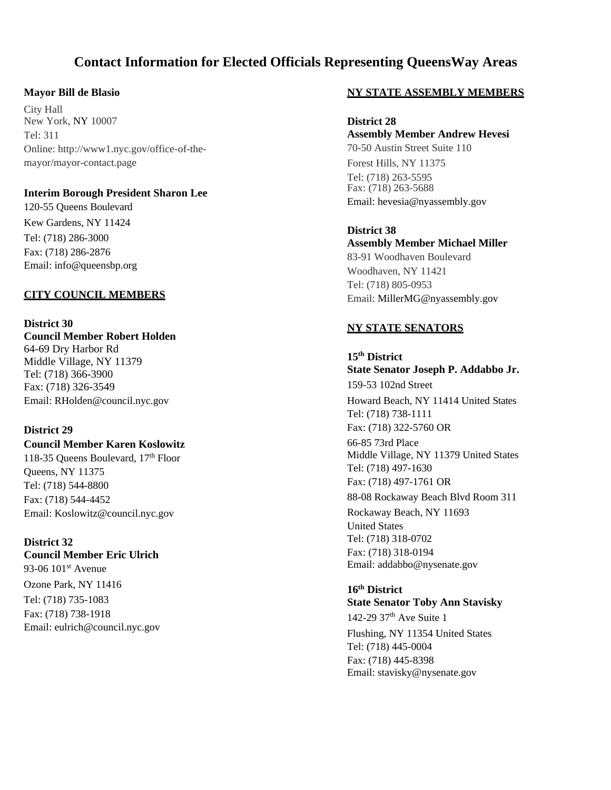# **Contact Information for Elected Officials Representing QueensWay Areas**

#### **Mayor Bill de Blasio**

City Hall New York, NY 10007  $Tel: 311$ Online: [http://www1.nyc.gov/office-of-the](http://www1.nyc.gov/office-of-the-)mayor/mayor-contact.page

# **Interim Borough President Sharon Lee**

120-55 Queens Boulevard Kew Gardens, NY 11424 Tel: (718) 286-3000 Fax: (718) 286-2876 Email[: info@queensbp.org](mailto:info@queensbp.org)

# **CITY COUNCIL MEMBERS**

**District 30 Council Member Robert Holden** 64-69 Dry Harbor Rd Middle Village, NY 11379 Tel: (718) 366-3900 Fax: (718) 326-3549 Email[: RHolden@council.nyc.gov](mailto:RHolden@council.nyc.gov)

# **District 29**

**Council Member Karen Koslowitz**  118-35 Oueens Boulevard,  $17<sup>th</sup>$  Floor Queens, NY 11375 Tel: (718) 544-8800 Fax: (718) 544-4452 Email[: Koslowitz@council.nyc.gov](mailto:Koslowitz@council.nyc.gov)

#### **District 32 Council Member Eric Ulrich**

93-06 101<sup>st</sup> Avenue Ozone Park, NY 11416 Tel: (718) 735-1083 Fax: (718) 738-1918 Email[: eulrich@council.nyc.gov](mailto:eulrich@council.nyc.gov)

#### **NY STATE ASSEMBLY MEMBERS**

**District 28 Assembly Member Andrew Hevesi** 70-50 Austin Street Suite 110 Forest Hills, NY 11375 Tel: (718) 263-5595 Fax: (718) 263-5688 Email: hevesia@nyassembly.gov

**District 38 Assembly Member Michael Miller** 83-91 Woodhaven Boulevard Woodhaven, NY 11421 Tel: (718) 805-0953 Email: MillerMG@nyassembly.gov

# **NY STATE SENATORS**

**15th District State Senator Joseph P. Addabbo Jr.** 159-53 102nd Street Howard Beach, NY 11414 United States Tel: (718) 738-1111 Fax: (718) 322-5760 OR 66-85 73rd Place Middle Village, NY 11379 United States Tel: (718) 497-1630 Fax: (718) 497-1761 OR 88-08 Rockaway Beach Blvd Room 311 Rockaway Beach, NY 11693 United States Tel: (718) 318-0702 Fax: (718) 318-0194 Email[: addabbo@nysenate.gov](mailto:addabbo@nysenate.gov)

# **16th District State Senator Toby Ann Stavisky** 142-29  $37<sup>th</sup>$  Ave Suite 1 Flushing, NY 11354 United States Tel: (718) 445-0004 Fax: (718) 445-8398 Email[: stavisky@nysenate.gov](mailto:stavisky@nysenate.gov)